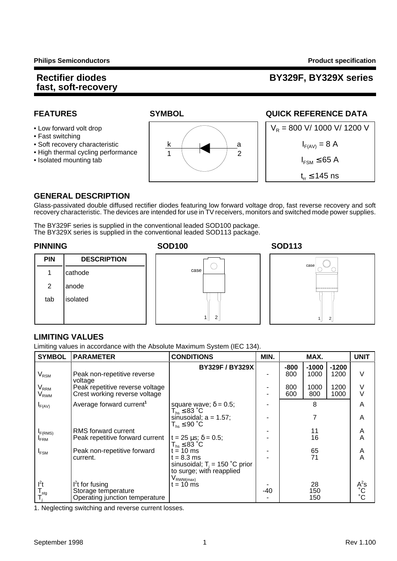### **Rectifier diodes BY329F, BY329X series**

- 
- Fast switching
- 
- High thermal cycling performance
- 



### **FEATURES SYMBOL SYMBOL QUICK REFERENCE DATA**



### **GENERAL DESCRIPTION**

Glass-passivated double diffused rectifier diodes featuring low forward voltage drop, fast reverse recovery and soft recovery characteristic. The devices are intended for use in TV receivers, monitors and switched mode power supplies.

The BY329F series is supplied in the conventional leaded SOD100 package. The BY329X series is supplied in the conventional leaded SOD113 package.

### **PIN DESCRIPTION** 1 cathode 2 anode tab | isolated





### **LIMITING VALUES**

Limiting values in accordance with the Absolute Maximum System (IEC 134).

| <b>SYMBOL</b>                  | <b>PARAMETER</b>                                                            | <b>CONDITIONS</b>                                                            | MIN. | MAX.        |                 | <b>UNIT</b>     |                |
|--------------------------------|-----------------------------------------------------------------------------|------------------------------------------------------------------------------|------|-------------|-----------------|-----------------|----------------|
| $V_{\rm RSM}$                  | Peak non-repetitive reverse                                                 | <b>BY329F/BY329X</b>                                                         |      | -800<br>800 | $-1000$<br>1000 | $-1200$<br>1200 | $\vee$         |
| $\rm V_{\rm RRM}$<br>$V_{RWM}$ | voltage<br>Peak repetitive reverse voltage<br>Crest working reverse voltage |                                                                              | ۰    | 800<br>600  | 1000<br>800     | 1200<br>1000    | V<br>V         |
| $I_{F(AV)}$                    | Average forward current <sup>1</sup>                                        | square wave; $\delta = 0.5$ ;<br>$T_{hs} \leq 83 \degree C$                  |      |             | 8               |                 | A              |
|                                |                                                                             | sinusoidal; $a = 1.57$ ;<br>$T_{hs} \leq 90 °C$                              |      |             |                 |                 | A              |
| F(RMS)                         | RMS forward current                                                         |                                                                              |      |             | 11              |                 | Α              |
| <b>FRM</b>                     | Peak repetitive forward current                                             | $t = 25 \,\mu s$ ; $\delta = 0.5$ ;<br>$T_{hs} \leq 83$ °C                   |      |             | 16              |                 | A              |
| $I_{FSM}$                      | Peak non-repetitive forward                                                 | $t = 10$ ms                                                                  |      |             | 65              |                 | A              |
|                                | current.                                                                    | $t = 8.3$ ms<br>sinusoidal; $T_i = 150$ °C prior<br>to surge; with reapplied |      |             | 71              |                 | A              |
|                                |                                                                             | $V_{\mathsf{RWM}(\mathsf{max})}$                                             |      |             |                 |                 |                |
| $l^2t$                         | $l^2$ t for fusing                                                          | $= 10$ ms                                                                    |      |             | 28              |                 | $A^2$ s        |
| $\mathsf{T}_{\mathsf{stg}}$    | Storage temperature<br>Operating junction temperature                       |                                                                              | -40  |             | 150<br>150      |                 | $\overline{C}$ |

1. Neglecting switching and reverse current losses.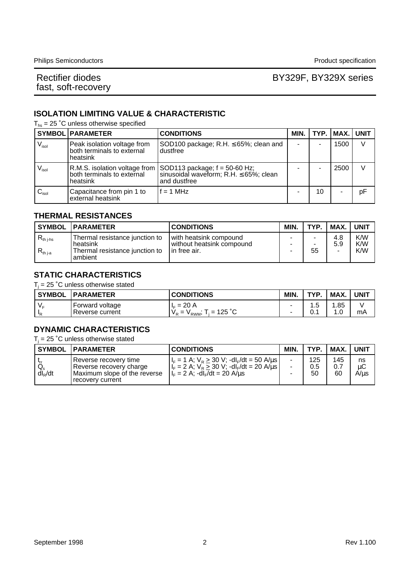### Rectifier diodes **BY329F**, BY329X series

### **ISOLATION LIMITING VALUE & CHARACTERISTIC**

 $T_{hs}$  = 25 °C unless otherwise specified

|                     | <b>SYMBOL PARAMETER</b>                                               | <b>CONDITIONS</b>                                                                                                               | MIN. |    | TYP.   MAX.   UNIT |    |
|---------------------|-----------------------------------------------------------------------|---------------------------------------------------------------------------------------------------------------------------------|------|----|--------------------|----|
| $V_{\sf isol}$      | Peak isolation voltage from<br>both terminals to external<br>heatsink | $\vert$ SOD100 package; R.H. $\leq$ 65%; clean and<br>dustfree                                                                  |      |    | 1500               | V  |
| $V_{\mathsf{isol}}$ | both terminals to external<br>heatsink                                | R.M.S. isolation voltage from $\vert$ SOD113 package; $f = 50-60$ Hz;<br>sinusoidal waveform; R.H. ≤ 65%; clean<br>and dustfree |      |    | 2500               | V  |
| $C_{\text{isol}}$   | Capacitance from pin 1 to<br>external heatsink                        | $f = 1$ MHz                                                                                                                     |      | 10 |                    | pF |

#### **THERMAL RESISTANCES**

|                                | <b>SYMBOL   PARAMETER</b>                                                                | <b>CONDITIONS</b>                                                         | MIN.        | <b>TYP</b> | MAX.       | <b>UNIT</b>       |
|--------------------------------|------------------------------------------------------------------------------------------|---------------------------------------------------------------------------|-------------|------------|------------|-------------------|
| $R_{th\ j-hs}$<br>$R_{th\,ia}$ | Thermal resistance junction to<br>heatsink<br>Thermal resistance junction to<br>lambient | I with heatsink compound<br>l without heatsink compound<br>l in free air. | -<br>-<br>- | -<br>55    | 4.8<br>5.9 | K/W<br>K/W<br>K/W |

### **STATIC CHARACTERISTICS**

 $T_j$  = 25 °C unless otherwise stated

| <b>SYMBOL</b> | <b>PARAMETER</b>                    | <b>CONDITIONS</b>                                              | <b>MIN</b>               | TVD              | MAX.        | UNIT |
|---------------|-------------------------------------|----------------------------------------------------------------|--------------------------|------------------|-------------|------|
| VΞ            | 'Forward voltage<br>Reverse current | 20 A<br>$=$<br>-le-<br>$= 125$ °C<br>$V_{\rm p}$<br>-<br>" RWM | $\overline{\phantom{a}}$ | ∽<br>. . ب<br>v. | .85<br>. .0 | mA   |

### **DYNAMIC CHARACTERISTICS**

 $T_i$  = 25 °C unless otherwise stated

| <b>SYMBOL</b>              | <b>IPARAMETER</b>                                                                                    | <b>CONDITIONS</b>                                                                                                                                                     | MIN. | TYP.             | MAX.             | <b>UNIT</b>      |
|----------------------------|------------------------------------------------------------------------------------------------------|-----------------------------------------------------------------------------------------------------------------------------------------------------------------------|------|------------------|------------------|------------------|
| $Q_{\rm s}$<br>$dl_{R}/dt$ | Reverse recovery time<br>Reverse recovery charge<br>Maximum slope of the reverse<br>recovery current | $ I_{F} = 1 A$ ; $V_{R} \ge 30 V$ ; -dl <sub>F</sub> /dt = 50 A/us<br>$ I_F = 2 A; V_R \ge 30 V; -dI_F/dt = 20 A/us $<br>$I_F = 2 A$ ; -dl <sub>F</sub> /dt = 20 A/us |      | 125<br>0.5<br>50 | 145<br>0.7<br>60 | ns<br>μC<br>A/µs |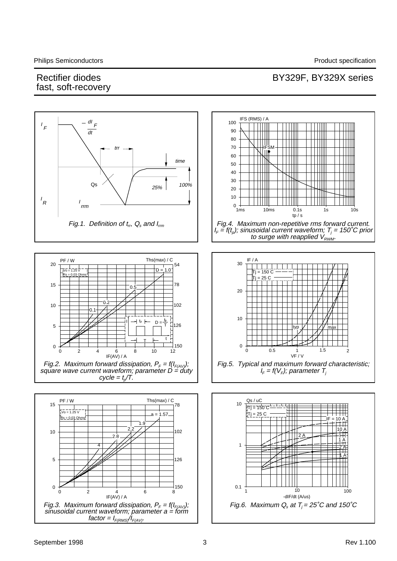### Rectifier diodes **BY329F, BY329X** series fast, soft-recovery

#### IFS (RMS) / A BY329 <sup>100</sup> dI F  $^{\prime}$  F 90 dt 80 ╥ 70 trr ÏIF 60 time 50 40 30 Qs  $\bigwedge$   $\bigwedge$  25% 100% 20 10 I R I rrm  $0 +$ <br>1ms 1ms 10ms 0.1s 1s 10s tp / s Fig.1. Definition of  $t_r$ ,  $Q_s$  and  $I_{rrm}$ Fig.4. Maximum non-repetitive rms forward current.  $I_{\scriptscriptstyle \digamma}=f(t_{\scriptscriptstyle \rho});$  sinusoidal current waveform;  $\mathcal{T}_j$  = 150˚C prior to surge with reapplied  $V_{RWM}$ . Ths(max) / C PF / W IF / A 30 20 54  $D = 1.0$ Vo = 1.25 V  $1500$ Rs = 0.03 Ohms Tj = 25 C 15 78 م-20 0.2 102 10 0.1 10  $t_p$  + D= I 126 5 T typ  $V$  | |  $V$  max t T –∣150<br>12 0 0  $0 \t 0.5$ 0.5 1.5 2 0 2 4 6 8 10 12 VF / V IF(AV) / A Fig.5. Typical and maximum forward characteristic; Fig.2. Maximum forward dissipation,  $P_{\scriptscriptstyle \digamma}= \underline{\mathit{f}}(I_{\scriptscriptstyle \digamma(\mathit{AV})})$ ;  $I_F = f(V_F)$ ; parameter  $T_i$ square wave current waveform; parameter D = duty  $cycle = t<sub>0</sub>/T$ .  $10 \frac{\text{Qs/uC}}{1}$ PF / W Ths(max) / C 15 78  $TT = 150 C$  $\sqrt{6} = 1.25 \text{ V}$  $Tj = 25 C$  $a = 1.57$  $Rs = 0.03$  Ohn IF = 10 A 1.9 2.2 10 A 102 10 2 A 2.8 1 A 1 4 2 A 1 A 5 126 0 –l<br>8<br>8 0.1 10 0 2 4 6 8 1 10 10 100 IF(AV) / A -dIF/dt (A/us) Fig.6. Maximum  $Q_s$  at  $T_i = 25^{\circ}C$  and 150°C Fig.3. Maximum forward dissipation,  $P_{\rm \scriptscriptstyle F}$  = f(I $_{\rm \scriptscriptstyle F(AV)}$ ); sinusoidal current waveform; parameter a = form factor =  $I_{F(RMS}/I_{F(AV)}$ .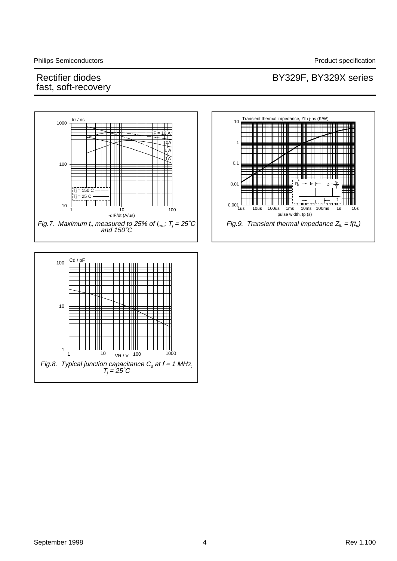### Rectifier diodes **BY329F**, BY329X series

 $^{\text{tp}}$   $\leftarrow$   $D = \frac{\text{tp}}{T}$ 

T

t

T

 $rule$  width, tp (s)

P

D

₩

ΠП

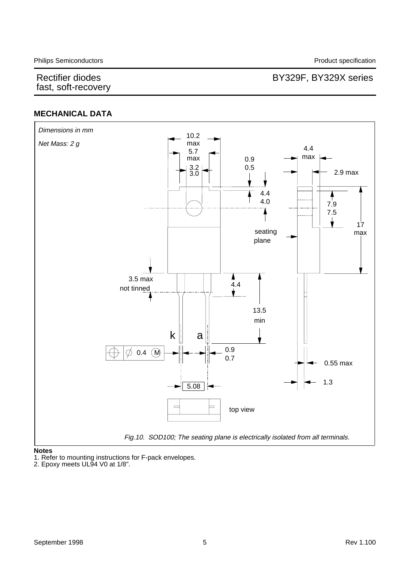### Rectifier diodes **BY329F**, BY329X series

### **MECHANICAL DATA**



#### **Notes**

1. Refer to mounting instructions for F-pack envelopes.

2. Epoxy meets UL94 V0 at 1/8".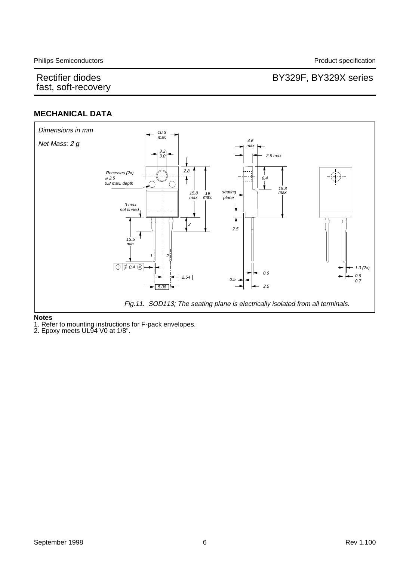### Rectifier diodes **BY329F**, BY329X series

### **MECHANICAL DATA**



#### **Notes**

1. Refer to mounting instructions for F-pack envelopes.

2. Epoxy meets UL94 V0 at 1/8".